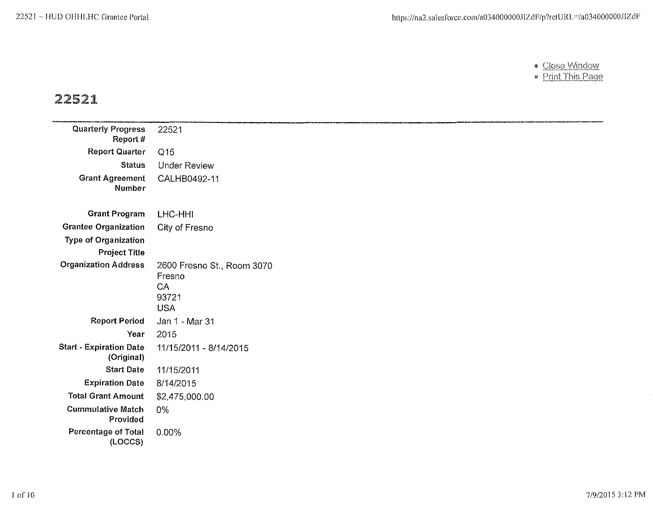- <u>Close Window</u>
- <u>Print This Page</u>

# *22521*

| <b>Quarterly Progress</b><br>Report#         | 22521                                                             |
|----------------------------------------------|-------------------------------------------------------------------|
| <b>Report Quarter</b>                        | Q15                                                               |
| <b>Status</b>                                | Under Review                                                      |
| <b>Grant Agreement</b><br>Number             | CALHB0492-11                                                      |
| <b>Grant Program</b>                         | LHC-HHI                                                           |
| <b>Grantee Organization</b>                  | City of Fresno                                                    |
| <b>Type of Organization</b>                  |                                                                   |
| <b>Project Title</b>                         |                                                                   |
| <b>Organization Address</b>                  | 2600 Fresno St., Room 3070<br>Fresno<br>CA<br>93721<br><b>USA</b> |
| <b>Report Period</b>                         | Jan 1 - Mar 31                                                    |
| Year                                         | 2015                                                              |
| <b>Start - Expiration Date</b><br>(Original) | 11/15/2011 - 8/14/2015                                            |
| <b>Start Date</b>                            | 11/15/2011                                                        |
| <b>Expiration Date</b>                       | 8/14/2015                                                         |
| <b>Total Grant Amount</b>                    | \$2,475,000.00                                                    |
| Cummulative Match<br>Provided                | 0%                                                                |
| <b>Percentage of Total</b><br>(LOCCS)        | 0.00%                                                             |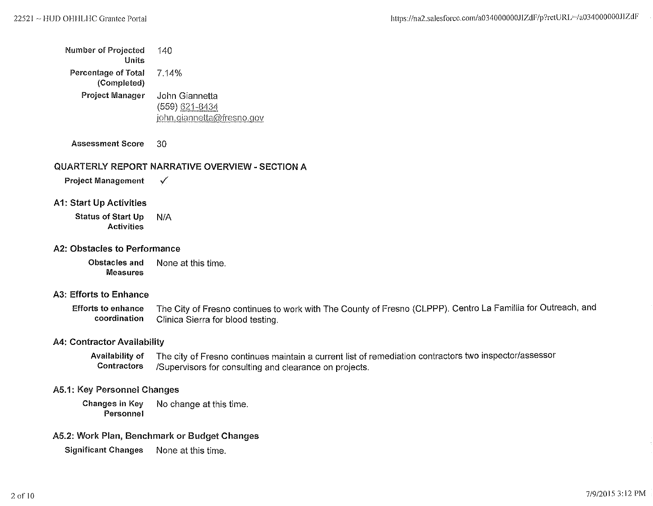| Number of Projected<br>Units       | 140                                                           |
|------------------------------------|---------------------------------------------------------------|
| Percentage of Total<br>(Completed) | 7.14%                                                         |
| Project Manager                    | John Giannetta<br>(559) 621-8434<br>iohn.giannetta@fresno.gov |

Assessment Score 30

#### QUARTERLY REPORT NARRATIVE OVERVIEW- SECTION A

Project Management  $\checkmark$ 

A1: Start Up Activities

Status of Start Up N/A Activities

#### A2: Obstacles to Performance

Obstacles and None at this time. Measures

#### A3: Efforts to Enhance

Efforts to enhance The City of Fresno continues to work with The County of Fresno (CLPPP). Centro La Famillia for Outreach, and coordination Clinica Sierra for blood testing.

#### A4: Contractor Availability

Availability of The city of Fresno continues maintain a current list of remediation contractors two inspector/assessor Contractors /Supervisors for consulting and clearance on projects.

#### A5.1: Key Personnel Changes

Changes in Key No change at this time. Personnel

#### A5.2: Work Plan, Benchmark or Budget Changes

Significant Changes None at this time.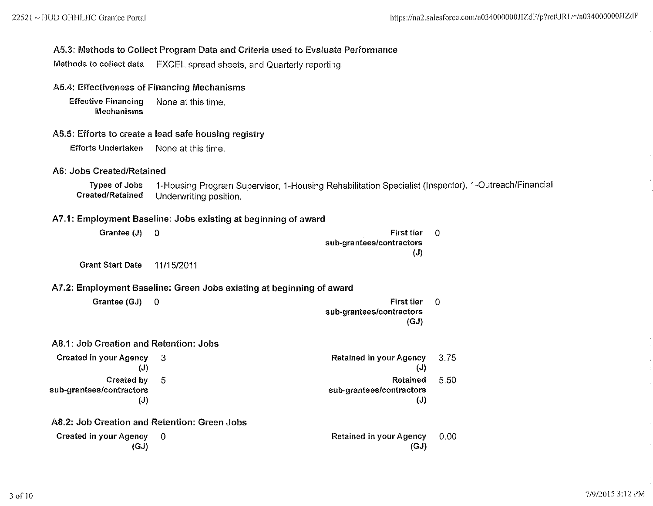#### A5.3: Methods to Collect Program Data and Criteria used to Evaluate Performance

Methods to collect data EXCEL spread sheets, and Quarterly reporting,

#### A5.4: Effectiveness of Financing Mechanisms

Effective Financing None at this time, **Mechanisms** 

#### A5.5: Efforts to create a lead safe housing registry

Efforts Undertaken None at this time,

#### A6: Jobs Created/Retained

Types of Jobs 1-Housing Program Supervisor, 1-Housing Rehabilitation Specialist (Inspector), 1-0utreach/Financial Underwriting position.

## A7.1: Employment Baseline: Jobs existing at beginning of award

| Grantee (J)                                     | 0           | <b>First tier</b><br>sub-grantees/contractors<br>(J)                 | 0           |
|-------------------------------------------------|-------------|----------------------------------------------------------------------|-------------|
| <b>Grant Start Date</b>                         | 11/15/2011  |                                                                      |             |
|                                                 |             | A7.2: Employment Baseline: Green Jobs existing at beginning of award |             |
| Grantee (GJ)                                    | $\mathbf 0$ | <b>First tier</b><br>sub-grantees/contractors<br>(GJ)                | $\mathbf 0$ |
| A8.1: Job Creation and Retention: Jobs          |             |                                                                      |             |
| <b>Created in your Agency</b><br>$(\mathsf{J})$ | - 3         | <b>Retained in your Agency</b><br>(J)                                | 3.75        |
| Created by<br>sub-grantees/contractors<br>(J)   | 5           | Retained<br>sub-grantees/contractors<br>(J)                          | 5.50        |
| A8.2: Job Creation and Retention: Green Jobs    |             |                                                                      |             |
| Created in your Agency<br>(GJ)                  | - 0         | <b>Retained in your Agency</b><br>(GJ)                               | 0.00        |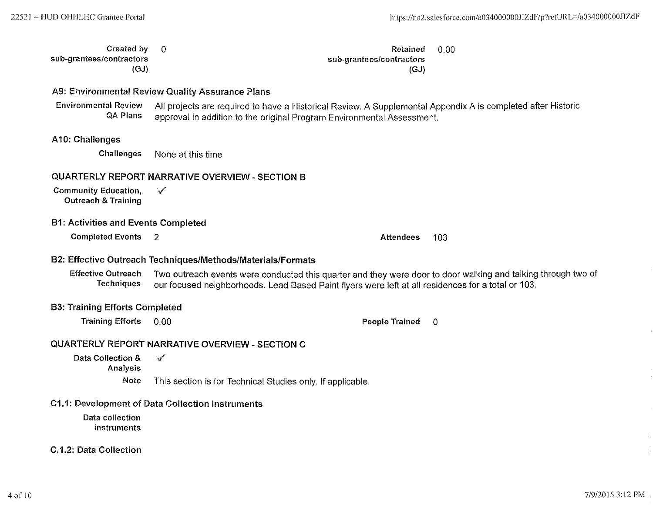| Created by               | - 0                                                | Retained                 | -0.00 |
|--------------------------|----------------------------------------------------|--------------------------|-------|
| sub-grantees/contractors |                                                    | sub-grantees/contractors |       |
| (GJ)                     |                                                    | (GJ)                     |       |
|                          | AQ: Eminanmandel Davisus Quality Analysis of Blank |                          |       |

A9: Environmental Review Quality Assurance Plans

Environmental Review All projects are required to have a Historical Review. A Supplemental Appendix A is completed after Historic approval in addition to the original Program Environmental Assessment.

#### A10: Challenges

Challenges None at this time

#### QUARTERLY REPORT NARRATIVE OVERVIEW- SECTION 8

Community Education,  $\sqrt{\phantom{a}}$ Outreach & Training

#### 81: Activities and Events Completed

**Completed Events** 2 **Completed Events** 2 **Attendees** 103

#### 82: Effective Outreach Techniques/Methods/Materials/Formats

Effective Outreach Two outreach events were conducted this quarter and they were door to door walking and talking through two of Techniques our focused neighborhoods. Lead Based Paint flyers were left at all residences for our focused neighborhoods. Lead Based Paint flyers were left at all residences for a total or 103.

#### 83: Training Efforts Completed

Training Efforts 0.00 **People Trained 0** 

#### QUARTERLY REPORT NARRATIVE OVERVIEW- SECTION C

Data Collection &  $\sqrt{ }$ Analysis Note This section is for Technical Studies only. If applicable.

#### C1.1: Development of Data Collection Instruments

Data collection instruments

#### C.1.2: Data Collection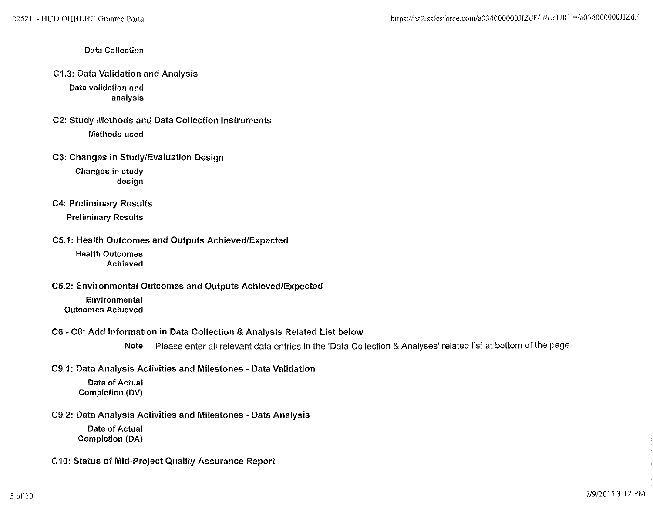#### Data Collection

C1.3: Data Validation and Analysis

Data validation and analysis

- C2: Study Methods and Data Collection Instruments Methods used
- C3: Changes in Study/Evaluation Design

Changes in study design

C4: Preliminary Results

Preliminary Results

C5.1: Health Outcomes and Outputs Achieved/Expected

Health Outcomes Achieved

C5.2: Environmental Outcomes and Outputs Achieved/Expected

Environmental Outcomes Achieved

#### C6- C8: Add Information in Data Collection & Analysis Related List below

Note Please enter all relevant data entries in the 'Data Collection & Analyses' related list at bottom of the page.

C9.1: Data Analysis Activities and Milestones • Data Validation

Date of Actual Completion (DV)

C9.2: Data Analysis Activities and Milestones • Data Analysis

Date of Actual Completion (DA)

C10: Status of Mid-Project Quality Assurance Report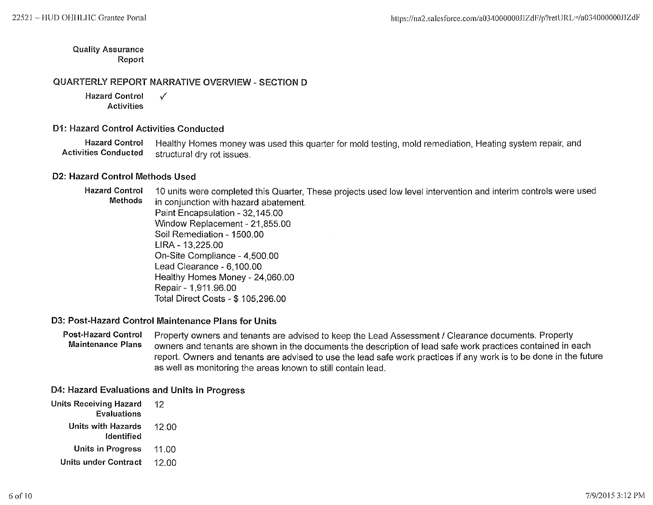Quality Assurance Report

#### QUARTERLY REPORT NARRATIVE OVERVIEW- SECTION 0

Hazard Control  $\sqrt{ }$ Activities

#### D1: Hazard Control Activities Conducted

Hazard Control Healthy Homes money was used this quarter for mold testing, mold remediation, Heating system repair, and<br>Activities Conducted structural dry rot issues structural dry rot issues.

#### 02: Hazard Control Methods Used

Hazard Control 10 units were completed this Quarter, These projects used low level intervention and interim controls were used in conjunction with hazard abatement. Paint Encapsulation- 32,145.00 Window Replacement- 21,855.00 Soil Remediation- 1500.00 LIRA- 13,225.00 On-Site Compliance- 4,500.00 Lead Clearance- 6,100.00 Healthy Homes Money- 24,060.00 Repair- 1,911.96.00 Total Direct Costs-\$ 105,296.00

#### 03: Post-Hazard Control Maintenance Plans for Units

#### Post-Hazard Control Property owners and tenants are advised to keep the Lead Assessment / Clearance documents. Property<br>Waintenance Plans purpers and tenants are shown in the documents the description of lead safe work pra owners and tenants are shown in the documents the description of lead safe work practices contained in each report. Owners and tenants are advised to use the lead safe work practices if any work is to be done in the future as well as monitoring the areas known to still contain lead.

#### 04: Hazard Evaluations and Units in Progress

| <b>Units Receiving Hazard</b> | 12    |  |
|-------------------------------|-------|--|
| <b>Evaluations</b>            |       |  |
| <b>Units with Hazards</b>     | 12.00 |  |
| Identified                    |       |  |
| <b>Units in Progress</b>      | 11.00 |  |
| Units under Contract          | 12 OO |  |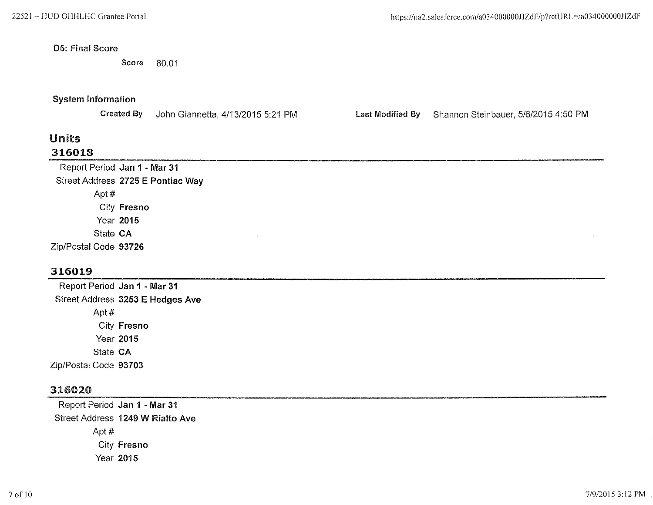#### 05: Final Score

Score 80.01

### System Information

Created By John Giannetta, 4/13/2015 5:21 PM Last Modified By Shannon Steinbauer, 5/6/2015 4:50 PM

## Units 316018

Report Period Jan 1 ·Mar 31 Street Address 2725 E Pontiac Way Apt# City Fresno Year 2015 State CA Zip/Postal Code 93726

## 316019

Report Period Jan 1 - Mar 31 Street Address 3253 E Hedges Ave Apt# City Fresno Year 2015 State CA Zip/Postal Code 93703

## 316020

Report Period Jan 1 - Mar 31 Street Address 1249 W Rialto Ave Apt# City Fresno Year 2015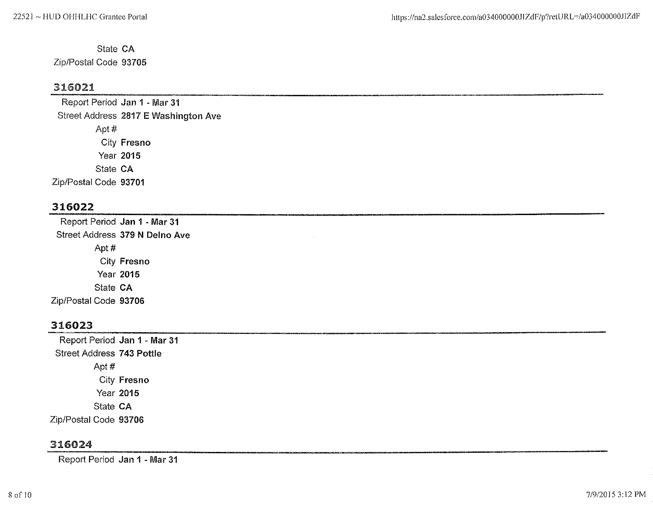State CA Zip/Postal Code 93705

## 316021

Report Period Jan 1 -Mar 31 Street Address 2817 E Washington Ave Apt# City Fresno Year 2015 State CA Zip/Postal Code 93701

## 316022

Report Period Jan 1 -Mar 31 Street Address 379 N Delno Ave Apt# City Fresno Year 2015 State CA Zip/Postal Code 93706

## 316023

Report Period Jan 1 - Mar 31 Street Address 743 Pottle Apt# City Fresno Year 2015 State CA Zip/Postal Code 93706

## 316024

Report Period Jan 1 - Mar 31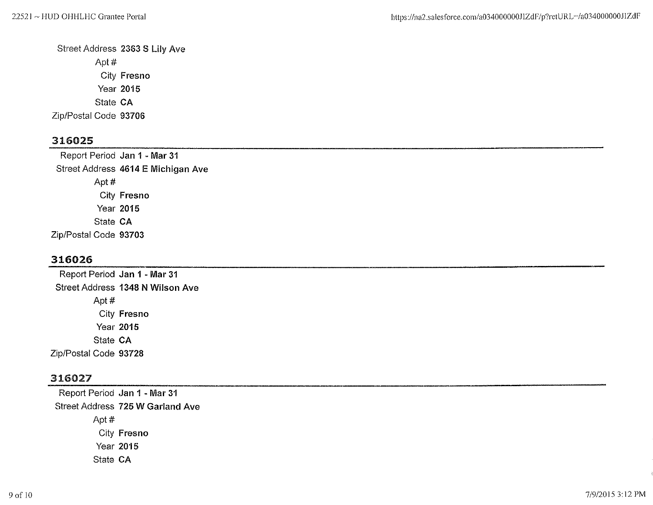Street Address 2363 S Lily Ave Apt# City Fresno Year 2015 State CA Zip/Postal Code 93706

## 316025

Report Period Jan 1 - Mar 31 Street Address 4614 E Michigan Ave Apt# City Fresno Year 2015 State CA Zip/Postal Code 93703

## 316026

Report Period Jan 1 - Mar 31 Street Address 1348 N Wilson Ave Apt# City Fresno Year 2015 State CA Zip/Postal Code 93728

## 316027

Report Period Jan 1 -Mar 31 Street Address 725 W Garland Ave Apt# City Fresno Year 2015 State CA